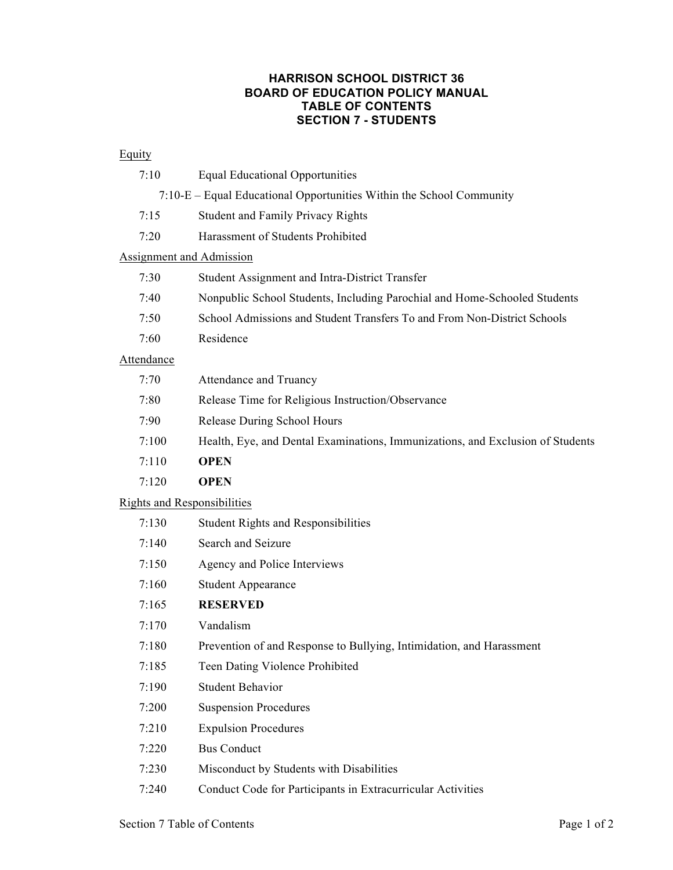#### **HARRISON SCHOOL DISTRICT 36 BOARD OF EDUCATION POLICY MANUAL TABLE OF CONTENTS SECTION 7 - STUDENTS**

#### **Equity**

| 7:10                                                                 | <b>Equal Educational Opportunities</b>                                    |  |
|----------------------------------------------------------------------|---------------------------------------------------------------------------|--|
| 7:10-E – Equal Educational Opportunities Within the School Community |                                                                           |  |
| 7:15                                                                 | <b>Student and Family Privacy Rights</b>                                  |  |
| 7:20                                                                 | Harassment of Students Prohibited                                         |  |
| Assignment and Admission                                             |                                                                           |  |
| 7:30                                                                 | Student Assignment and Intra-District Transfer                            |  |
| 7:40                                                                 | Nonpublic School Students, Including Parochial and Home-Schooled Students |  |
| 7:50                                                                 | School Admissions and Student Transfers To and From Non-District Schools  |  |
| 7:60                                                                 | Residence                                                                 |  |

## Attendance

| 7:70  | Attendance and Truancy                                                         |
|-------|--------------------------------------------------------------------------------|
| 7:80  | Release Time for Religious Instruction/Observance                              |
| 7:90  | Release During School Hours                                                    |
| 7:100 | Health, Eye, and Dental Examinations, Immunizations, and Exclusion of Students |
| 7:110 | <b>OPEN</b>                                                                    |
| 7:120 | <b>OPEN</b>                                                                    |

## Rights and Responsibilities

| 7:130 | <b>Student Rights and Responsibilities</b>                           |
|-------|----------------------------------------------------------------------|
| 7:140 | Search and Seizure                                                   |
| 7:150 | Agency and Police Interviews                                         |
| 7:160 | <b>Student Appearance</b>                                            |
| 7:165 | <b>RESERVED</b>                                                      |
| 7:170 | Vandalism                                                            |
| 7:180 | Prevention of and Response to Bullying, Intimidation, and Harassment |
| 7:185 | Teen Dating Violence Prohibited                                      |
| 7:190 | <b>Student Behavior</b>                                              |
| 7:200 | <b>Suspension Procedures</b>                                         |
| 7:210 | <b>Expulsion Procedures</b>                                          |
| 7:220 | <b>Bus Conduct</b>                                                   |
| 7:230 | Misconduct by Students with Disabilities                             |
| 7:240 | Conduct Code for Participants in Extracurricular Activities          |